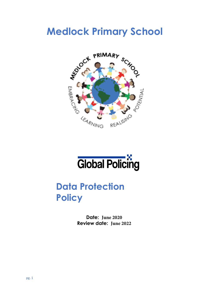# **Medlock Primary School**



# **Global Policing**

# **Data Protection Policy**

**Date: June 2020 Review date: June 2022**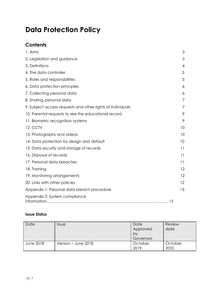# **Data Protection Policy**

# **Contents**

| 1. Aims                                                    | 3  |
|------------------------------------------------------------|----|
| 2. Legislation and guidance                                | 3  |
| 3. Definitions                                             | 4  |
| 4. The data controller                                     | 5  |
| 5. Roles and responsibilities                              | 5  |
| 6. Data protection principles                              | 6  |
| 7. Collecting personal data                                | 6  |
| 8. Sharing personal data                                   | 7  |
| 9. Subject access requests and other rights of individuals | 7  |
| 10. Parental requests to see the educational record        | 9  |
| 11. Biometric recognition systems                          | 9  |
| <b>12. CCTV</b>                                            | 10 |
| 13. Photographs and videos                                 | 10 |
| 14. Data protection by design and default                  | 10 |
| 15. Data security and storage of records                   | 11 |
| 16. Disposal of records                                    | 11 |
| 17. Personal data breaches                                 | 11 |
| 18. Training                                               | 12 |
| 19. Monitoring arrangements                                | 12 |
| 20. Links with other policies                              | 12 |
| Appendix 1: Personal data breach procedure                 | 13 |
| Appendix 2: System compliance                              |    |

#### **Issue Status**

| Date             | <b>Issue</b>        | Date<br>Approved<br>by<br>Governors | Review<br>date  |
|------------------|---------------------|-------------------------------------|-----------------|
| <b>June 2018</b> | Version - June 2018 | October<br>2019                     | October<br>2022 |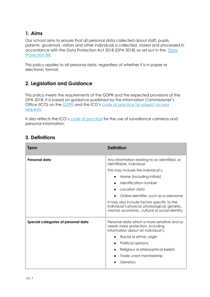#### <span id="page-2-0"></span>**1. Aims**

Our school aims to ensure that all personal data collected about staff, pupils, parents, governors, visitors and other individuals is collected, stored and processed in [accordance with the Data Protection Act 2018 \(DPA 2018\) as set out in the Data](https://publications.parliament.uk/pa/bills/cbill/2017-2019/0153/18153.pdf)  Protection Bill.

This policy applies to all personal data, regardless of whether it is in paper or electronic format.

# <span id="page-2-1"></span>**2. Legislation and Guidance**

This policy meets the requirements of the GDPR and the expected provisions of the DPA 2018. It is based on guidance published by the Information Commissioner's Office (ICO) on the [GDPR](https://ico.org.uk/for-organisations/guide-to-the-general-data-protection-regulation-gdpr/individual-rights/right-to-be-informed/) and the ICO's code of practice for subject access [requests](https://ico.org.uk/media/for-organisations/documents/2014223/subject-access-code-of-practice.pdf).

It also reflects the ICO's [code of practice](https://ico.org.uk/media/for-organisations/documents/1542/cctv-code-of-practice.pdf) for the use of surveillance cameras and personal information.

| Term                                | <b>Definition</b>                                                                                                                               |
|-------------------------------------|-------------------------------------------------------------------------------------------------------------------------------------------------|
| <b>Personal data</b>                | Any information relating to an identified, or<br>identifiable, individual.                                                                      |
|                                     | This may include the individual's:                                                                                                              |
|                                     | Name (including initials)                                                                                                                       |
|                                     | Identification number                                                                                                                           |
|                                     | Location data                                                                                                                                   |
|                                     | Online identifier, such as a username                                                                                                           |
|                                     | It may also include factors specific to the<br>individual's physical, physiological, genetic,<br>mental, economic, cultural or social identity. |
| Special categories of personal data | Personal data which is more sensitive and so<br>needs more protection, including<br>information about an individual's:                          |
|                                     | Racial or ethnic origin<br>$\bullet$                                                                                                            |
|                                     | Political opinions<br>$\bullet$                                                                                                                 |
|                                     | Religious or philosophical beliefs                                                                                                              |
|                                     | Trade union membership                                                                                                                          |
|                                     | Genetics                                                                                                                                        |

## <span id="page-2-2"></span>**3. Definitions**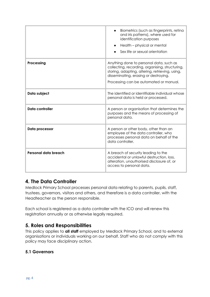|                      | Biometrics (such as fingerprints, retina<br>and iris patterns), where used for<br>identification purposes<br>Health - physical or mental<br>Sex life or sexual orientation                                                       |
|----------------------|----------------------------------------------------------------------------------------------------------------------------------------------------------------------------------------------------------------------------------|
| Processing           | Anything done to personal data, such as<br>collecting, recording, organising, structuring,<br>storing, adapting, altering, retrieving, using,<br>disseminating, erasing or destroying.<br>Processing can be automated or manual. |
| Data subject         | The identified or identifiable individual whose<br>personal data is held or processed.                                                                                                                                           |
| Data controller      | A person or organisation that determines the<br>purposes and the means of processing of<br>personal data.                                                                                                                        |
| Data processor       | A person or other body, other than an<br>employee of the data controller, who<br>processes personal data on behalf of the<br>data controller.                                                                                    |
| Personal data breach | A breach of security leading to the<br>accidental or unlawful destruction, loss,<br>alteration, unauthorised disclosure of, or<br>access to personal data.                                                                       |

#### <span id="page-3-0"></span>**4. The Data Controller**

Medlock Primary School processes personal data relating to parents, pupils, staff, trustees, governors, visitors and others, and therefore is a data controller, with the Headteacher as the person responsible.

Each school is registered as a data controller with the ICO and will renew this registration annually or as otherwise legally required.

# <span id="page-3-1"></span>**5. Roles and Responsibilities**

This policy applies to **all staff** employed by Medlock Primary School, and to external organisations or individuals working on our behalf. Staff who do not comply with this policy may face disciplinary action.

#### **5.1 Governors**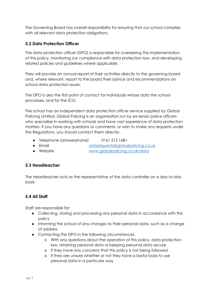The Governing Board has overall responsibility for ensuring that our school complies with all relevant data protection obligations.

#### **5.2 Data Protection Officer**

The data protection officer (DPO) is responsible for overseeing the implementation of this policy, monitoring our compliance with data protection law, and developing related policies and guidelines where applicable.

They will provide an annual report of their activities directly to the governing board and, where relevant, report to the board their advice and recommendations on school data protection issues.

The DPO is also the first point of contact for individuals whose data the school processes, and for the ICO.

The school has an independent data protection officer service supplied by Global Policing Limited. Global Policing is an organisation run by ex-senior police officers who specialise in working with schools and have vast experience of data protection matters. If you have any questions or comments, or wish to make any requests under the Regulations, you should contact them directly:

- Telephone (answerphone) 0161 212 1681
- Email [datarequests@globalpolicing.co.uk](mailto:datarequests@globalpolicing.co.uk)
- Website [www.globalpolicing.co.uk/data](http://www.globalpolicing.co.uk/data)

#### **5.3 Headteacher**

The Headteacher acts as the representative of the data controller on a day-to-day basis.

#### **5.4 All Staff**

Staff are responsible for:

- Collecting, storing and processing any personal data in accordance with this policy
- Informing the school of any changes to their personal data, such as a change of address
- Contacting the DPO in the following circumstances:
	- o With any questions about the operation of this policy, data protection law, retaining personal data or keeping personal data secure
	- o If they have any concerns that this policy is not being followed
	- o If they are unsure whether or not they have a lawful basis to use personal data in a particular way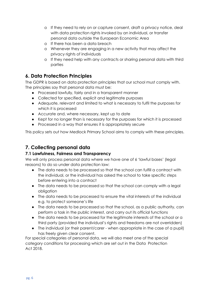- o If they need to rely on or capture consent, draft a privacy notice, deal with data protection rights invoked by an individual, or transfer personal data outside the European Economic Area
- o If there has been a data breach
- o Whenever they are engaging in a new activity that may affect the privacy rights of individuals
- o If they need help with any contracts or sharing personal data with third parties

#### <span id="page-5-0"></span>**6. Data Protection Principles**

The GDPR is based on data protection principles that our school must comply with. The principles say that personal data must be:

- Processed lawfully, fairly and in a transparent manner
- Collected for specified, explicit and legitimate purposes
- Adequate, relevant and limited to what is necessary to fulfil the purposes for which it is processed
- Accurate and, where necessary, kept up to date
- Kept for no longer than is necessary for the purposes for which it is processed
- Processed in a way that ensures it is appropriately secure

This policy sets out how Medlock Primary School aims to comply with these principles.

#### <span id="page-5-1"></span>**7. Collecting personal data**

#### **7.1 Lawfulness, Fairness and Transparency**

We will only process personal data where we have one of 6 'lawful bases' (legal reasons) to do so under data protection law:

- The data needs to be processed so that the school can fulfill a contract with the individual, or the individual has asked the school to take specific steps before entering into a contract
- The data needs to be processed so that the school can comply with a legal obligation
- The data needs to be processed to ensure the vital interests of the individual e.g. to protect someone's life
- The data needs to be processed so that the school, as a public authority, can perform a task in the public interest, and carry out its official functions
- The data needs to be processed for the legitimate interests of the school or a third party (provided the individual's rights and freedoms are not overridden)
- The individual (or their parent/carer when appropriate in the case of a pupil) has freely given clear consent.

For special categories of personal data, we will also meet one of the special category conditions for processing which are set out in the Data Protection Act 2018.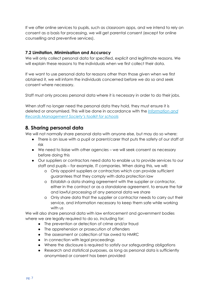If we offer online services to pupils, such as classroom apps, and we intend to rely on consent as a basis for processing, we will get parental consent (except for online counselling and preventive services).

#### **7.2 Limitation, Minimisation and Accuracy**

We will only collect personal data for specified, explicit and legitimate reasons. We will explain these reasons to the individuals when we first collect their data.

If we want to use personal data for reasons other than those given when we first obtained it, we will inform the individuals concerned before we do so and seek consent where necessary.

Staff must only process personal data where it is necessary in order to do their jobs.

When staff no longer need the personal data they hold, they must ensure it is deleted or anonymised. This will be done in accordance with the *[Information and](http://irms.org.uk/?page=schoolstoolkit&terms=%22toolkit+and+schools%22)  [Records Management Society's toolkit for schools](http://irms.org.uk/?page=schoolstoolkit&terms=%22toolkit+and+schools%22)*

#### <span id="page-6-0"></span>**8. Sharing personal data**

We will not normally share personal data with anyone else, but may do so where:

- There is an issue with a pupil or parent/carer that puts the safety of our staff at risk
- We need to liaise with other agencies we will seek consent as necessary before doing this
- Our suppliers or contractors need data to enable us to provide services to our staff and pupils – for example, IT companies. When doing this, we will:
	- o Only appoint suppliers or contractors which can provide sufficient guarantees that they comply with data protection law
	- o Establish a data sharing agreement with the supplier or contractor, either in the contract or as a standalone agreement, to ensure the fair and lawful processing of any personal data we share
	- o Only share data that the supplier or contractor needs to carry out their service, and information necessary to keep them safe while working with us

We will also share personal data with law enforcement and government bodies where we are legally required to do so, including for:

- The prevention or detection of crime and/or fraud
- The apprehension or prosecution of offenders
- The assessment or collection of tax owed to HMRC
- In connection with legal proceedings
- Where the disclosure is required to satisfy our safeguarding obligations
- Research and statistical purposes, as long as personal data is sufficiently anonymised or consent has been provided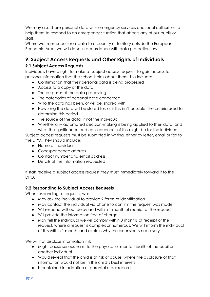We may also share personal data with emergency services and local authorities to help them to respond to an emergency situation that affects any of our pupils or staff.

Where we transfer personal data to a country or territory outside the European Economic Area, we will do so in accordance with data protection law.

# <span id="page-7-0"></span>**9. Subject Access Requests and Other Rights of Individuals**

#### **9.1 Subject Access Requests**

Individuals have a right to make a 'subject access request' to gain access to personal information that the school holds about them. This includes:

- Confirmation that their personal data is being processed
- Access to a copy of the data
- The purposes of the data processing
- The categories of personal data concerned
- Who the data has been, or will be, shared with
- How long the data will be stored for, or if this isn't possible, the criteria used to determine this period
- The source of the data, if not the individual
- Whether any automated decision-making is being applied to their data, and what the significance and consequences of this might be for the individual

Subject access requests must be submitted in writing, either by letter, email or fax to the DPO. They should include:

- Name of individual
- Correspondence address
- Contact number and email address
- Details of the information requested

If staff receive a subject access request they must immediately forward it to the DPO.

#### **9.2 Responding to Subject Access Requests**

When responding to requests, we:

- May ask the individual to provide 2 forms of identification
- May contact the individual via phone to confirm the request was made
- Will respond without delay and within 1 month of receipt of the request
- Will provide the information free of charge
- May tell the individual we will comply within 3 months of receipt of the request, where a request is complex or numerous. We will inform the individual of this within 1 month, and explain why the extension is necessary

We will not disclose information if it:

- Might cause serious harm to the physical or mental health of the pupil or another individual
- Would reveal that the child is at risk of abuse, where the disclosure of that information would not be in the child's best interests
- Is contained in adoption or parental order records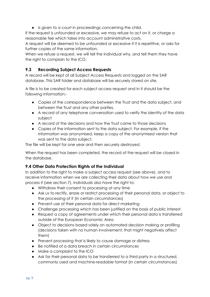● Is given to a court in proceedings concerning the child.

If the request is unfounded or excessive, we may refuse to act on it, or charge a reasonable fee which takes into account administrative costs.

A request will be deemed to be unfounded or excessive if it is repetitive, or asks for further copies of the same information.

When we refuse a request, we will tell the individual why, and tell them they have the right to complain to the ICO.

#### **9.3 Recording Subject Access Requests**

A record will be kept of all Subject Access Requests and logged on the SAR database. This SAR folder and database will be securely stored on site.

A file is to be created for each subject access request and in it should be the following information:-

- Copies of the correspondence between the Trust and the data subject, and between the Trust and any other parties.
- A record of any telephone conversation used to verify the identity of the data subject
- A record of the decisions and how the Trust came to those decisions
- Copies of the information sent to the data subject. For example, if the information was anonymised, keep a copy of the anonymised version that was sent to the data subject.

The file will be kept for one year and then securely destroyed.

When the request has been completed, the record of the request will be closed in the database.

#### **9.4 Other Data Protection Rights of the Individual**

In addition to the right to make a subject access request (see above), and to receive information when we are collecting their data about how we use and process it (see section 7), individuals also have the right to:

- Withdraw their consent to processing at any time
- Ask us to rectify, erase or restrict processing of their personal data, or object to the processing of it (in certain circumstances)
- Prevent use of their personal data for direct marketing
- Challenge processing which has been justified on the basis of public interest
- Request a copy of agreements under which their personal data is transferred outside of the European Economic Area
- Object to decisions based solely on automated decision making or profiling (decisions taken with no human involvement, that might negatively affect them)
- Prevent processing that is likely to cause damage or distress
- Be notified of a data breach in certain circumstances
- Make a complaint to the ICO
- Ask for their personal data to be transferred to a third party in a structured, commonly used and machine-readable format (in certain circumstances)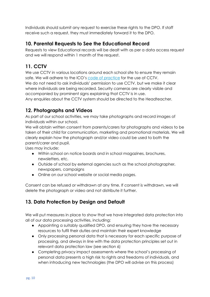Individuals should submit any request to exercise these rights to the DPO. If staff receive such a request, they must immediately forward it to the DPO.

# <span id="page-9-0"></span>**10. Parental Requests to See the Educational Record**

Requests to view Educational records will be dealt with as per a data access request and we will respond within 1 month of the request.

# <span id="page-9-1"></span>**11. CCTV**

We use CCTV in various locations around each school site to ensure they remain safe. We will adhere to the ICO's [code of practice](https://ico.org.uk/media/for-organisations/documents/1542/cctv-code-of-practice.pdf) for the use of CCTV. We do not need to ask individuals' permission to use CCTV, but we make it clear where individuals are being recorded. Security cameras are clearly visible and accompanied by prominent signs explaining that CCTV is in use.

Any enquiries about the CCTV system should be directed to the Headteacher.

## <span id="page-9-2"></span>**12. Photographs and Videos**

As part of our school activities, we may take photographs and record images of individuals within our school.

We will obtain written consent from parents/carers for photographs and videos to be taken of their child for communication, marketing and promotional materials. We will clearly explain how the photograph and/or video could be used to both the parent/carer and pupil.

Uses may include:

- Within school on notice boards and in school magazines, brochures, newsletters, etc.
- Outside of school by external agencies such as the school photographer, newspapers, campaigns
- Online on our school website or social media pages.

Consent can be refused or withdrawn at any time. If consent is withdrawn, we will delete the photograph or video and not distribute it further.

# <span id="page-9-3"></span>**13. Data Protection by Design and Default**

We will put measures in place to show that we have integrated data protection into all of our data processing activities, including:

- Appointing a suitably qualified DPO, and ensuring they have the necessary resources to fulfil their duties and maintain their expert knowledge
- Only processing personal data that is necessary for each specific purpose of processing, and always in line with the data protection principles set out in relevant data protection law (see section 6)
- Completing privacy impact assessments where the school's processing of personal data presents a high risk to rights and freedoms of individuals, and when introducing new technologies (the DPO will advise on this process)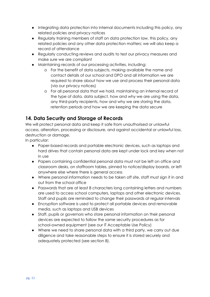- Integrating data protection into internal documents including this policy, any related policies and privacy notices
- Regularly training members of staff on data protection law, this policy, any related policies and any other data protection matters; we will also keep a record of attendance
- Regularly conducting reviews and audits to test our privacy measures and make sure we are compliant
- Maintaining records of our processing activities, including:
	- o For the benefit of data subjects, making available the name and contact details of our school and DPO and all information we are required to share about how we use and process their personal data (via our privacy notices)
	- o For all personal data that we hold, maintaining an internal record of the type of data, data subject, how and why we are using the data, any third-party recipients, how and why we are storing the data, retention periods and how we are keeping the data secure

## <span id="page-10-0"></span>**14. Data Security and Storage of Records**

We will protect personal data and keep it safe from unauthorised or unlawful access, alteration, processing or disclosure, and against accidental or unlawful loss, destruction or damage.

In particular:

- Paper-based records and portable electronic devices, such as laptops and hard drives that contain personal data are kept under lock and key when not in use
- Papers containing confidential personal data must not be left on office and classroom desks, on staffroom tables, pinned to notice/display boards, or left anywhere else where there is general access
- Where personal information needs to be taken off site, staff must sign it in and out from the school office
- Passwords that are at least 8 characters long containing letters and numbers are used to access school computers, laptops and other electronic devices. Staff and pupils are reminded to change their passwords at regular intervals
- Encryption software is used to protect all portable devices and removable media, such as laptops and USB devices
- Staff, pupils or governors who store personal information on their personal devices are expected to follow the same security procedures as for school-owned equipment (see our IT Acceptable Use Policy)
- Where we need to share personal data with a third party, we carry out due diligence and take reasonable steps to ensure it is stored securely and adequately protected (see section 8).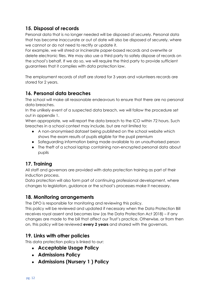# <span id="page-11-0"></span>**15. Disposal of records**

Personal data that is no longer needed will be disposed of securely. Personal data that has become inaccurate or out of date will also be disposed of securely, where we cannot or do not need to rectify or update it.

For example, we will shred or incinerate paper-based records and overwrite or delete electronic files. We may also use a third party to safely dispose of records on the school's behalf. If we do so, we will require the third party to provide sufficient guarantees that it complies with data protection law.

The employment records of staff are stored for 3 years and volunteers records are stored for 2 years.

#### <span id="page-11-1"></span>**16. Personal data breaches**

The school will make all reasonable endeavours to ensure that there are no personal data breaches.

In the unlikely event of a suspected data breach, we will follow the procedure set out in appendix 1.

When appropriate, we will report the data breach to the ICO within 72 hours. Such breaches in a school context may include, but are not limited to:

- A non-anonymised dataset being published on the school website which shows the exam results of pupils eligible for the pupil premium
- Safeguarding information being made available to an unauthorised person
- The theft of a school laptop containing non-encrypted personal data about pupils

#### <span id="page-11-2"></span>**17. Training**

All staff and governors are provided with data protection training as part of their induction process.

Data protection will also form part of continuing professional development, where changes to legislation, guidance or the school's processes make it necessary.

#### <span id="page-11-3"></span>**18. Monitoring arrangements**

The DPO is responsible for monitoring and reviewing this policy.

This policy will be reviewed and updated if necessary when the Data Protection Bill receives royal assent and becomes law (as the Data Protection Act 2018) – if any changes are made to the bill that affect our Trust's practice. Otherwise, or from then on, this policy will be reviewed **every 2 years** and shared with the governors.

#### <span id="page-11-4"></span>**19. Links with other policies**

This data protection policy is linked to our:

- **Acceptable Usage Policy**
- **Admissions Policy**
- **Admissions (Nursery 1 ) Policy**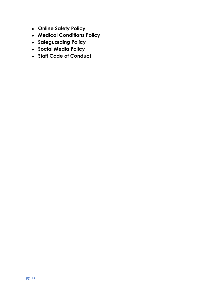- **Online Safety Policy**
- **Medical Conditions Policy**
- **Safeguarding Policy**
- **Social Media Policy**
- <span id="page-12-0"></span>● **Staff Code of Conduct**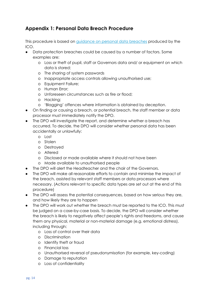#### **Appendix 1: Personal Data Breach Procedure**

This procedure is based on [guidance on personal data breaches](https://ico.org.uk/for-organisations/guide-to-the-general-data-protection-regulation-gdpr/personal-data-breaches/) produced by the ICO.

- Data protection breaches could be caused by a number of factors. Some examples are:
	- o Loss or theft of pupil, staff or Governors data and/ or equipment on which data is stored;
	- o The sharing of system passwords
	- o Inappropriate access controls allowing unauthorised use;
	- o Equipment Failure;
	- o Human Error;
	- o Unforeseen circumstances such as fire or flood;
	- o Hacking;
	- o 'Blagging' offences where information is obtained by deception.
- On finding or causing a breach, or potential breach, the staff member or data processor must immediately notify the DPO.
- The DPO will investigate the report, and determine whether a breach has occurred. To decide, the DPO will consider whether personal data has been accidentally or unlawfully:
	- o Lost
	- o Stolen
	- o Destroyed
	- o Altered
	- o Disclosed or made available where it should not have been
	- o Made available to unauthorised people
- The DPO will alert the Headteacher and the chair of the Governors.
- The DPO will make all reasonable efforts to contain and minimise the impact of the breach, assisted by relevant staff members or data processors where necessary. (Actions relevant to specific data types are set out at the end of this procedure)
- The DPO will assess the potential consequences, based on how serious they are, and how likely they are to happen
- The DPO will work out whether the breach must be reported to the ICO. This must be judged on a case-by-case basis. To decide, the DPO will consider whether the breach is likely to negatively affect people's rights and freedoms, and cause them any physical, material or non-material damage (e.g. emotional distress), including through:
	- o Loss of control over their data
	- o Discrimination
	- o Identify theft or fraud
	- o Financial loss
	- o Unauthorised reversal of pseudonymisation (for example, key-coding)
	- o Damage to reputation
	- o Loss of confidentiality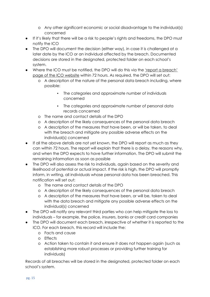- o Any other significant economic or social disadvantage to the individual(s) concerned
- If it's likely that there will be a risk to people's rights and freedoms, the DPO must notify the ICO
- The DPO will document the decision (either way), in case it is challenged at a later date by the ICO or an individual affected by the breach. Documented decisions are stored in the designated, protected folder on each school's system.
- Where the ICO must be notified, the DPO will do this via the 'report a [breach'](https://ico.org.uk/for-organisations/report-a-breach/) page of the ICO [website](https://ico.org.uk/for-organisations/report-a-breach/) within 72 hours. As required, the DPO will set out:
	- o A description of the nature of the personal data breach including, where possible:
		- The categories and approximate number of individuals concerned
		- The categories and approximate number of personal data records concerned
	- o The name and contact details of the DPO
	- o A description of the likely consequences of the personal data breach
	- o A description of the measures that have been, or will be taken, to deal with the breach and mitigate any possible adverse effects on the individual(s) concerned
- If all the above details are not yet known, the DPO will report as much as they can within 72 hours. The report will explain that there is a delay, the reasons why, and when the DPO expects to have further information. The DPO will submit the remaining information as soon as possible
- The DPO will also assess the risk to individuals, again based on the severity and likelihood of potential or actual impact. If the risk is high, the DPO will promptly inform, in writing, all individuals whose personal data has been breached. This notification will set out:
	- o The name and contact details of the DPO
	- o A description of the likely consequences of the personal data breach
	- o A description of the measures that have been, or will be, taken to deal with the data breach and mitigate any possible adverse effects on the individual(s) concerned
- The DPO will notify any relevant third parties who can help mitigate the loss to individuals – for example, the police, insurers, banks or credit card companies
- The DPO will document each breach, irrespective of whether it is reported to the ICO. For each breach, this record will include the:
	- o Facts and cause
	- o Effects
	- o Action taken to contain it and ensure it does not happen again (such as establishing more robust processes or providing further training for individuals)

Records of all breaches will be stored in the designated, protected folder on each school's system.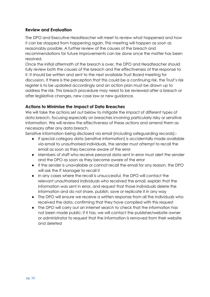#### **Review and Evaluation**

The DPO and Executive Headteacher will meet to review what happened and how it can be stopped from happening again. This meeting will happen as soon as reasonably possible. A further review of the causes of the breach and recommendations for future improvements can be done once the matter has been resolved.

Once the initial aftermath of the breach is over, the DPO and Headteacher should fully review both the causes of the breach and the effectiveness of the response to it. It should be written and sent to the next available Trust Board meeting for discussion. If there is the perception that this could be a continuing risk, the Trust's risk register is to be updated accordingly and an action plan must be drawn up to address the risk. This breach procedure may need to be reviewed after a breach or after legislative changes, new case law or new guidance.

#### **Actions to Minimise the Impact of Data Breaches**

We will take the actions set out below to mitigate the impact of different types of data breach, focusing especially on breaches involving particularly risky or sensitive information. We will review the effectiveness of these actions and amend them as necessary after any data breach.

Sensitive information being disclosed via email (including safeguarding records):-

- If special category data (sensitive information) is accidentally made available via email to unauthorised individuals, the sender must attempt to recall the email as soon as they become aware of the error
- Members of staff who receive personal data sent in error must alert the sender and the DPO as soon as they become aware of the error
- If the sender is unavailable or cannot recall the email for any reason, the DPO will ask the IT Manager to recall it
- In any cases where the recall is unsuccessful, the DPO will contact the relevant unauthorised individuals who received the email, explain that the information was sent in error, and request that those individuals delete the information and do not share, publish, save or replicate it in any way
- The DPO will ensure we receive a written response from all the individuals who received the data, confirming that they have complied with this request
- The DPO will carry out an internet search to check that the information has not been made public; if it has, we will contact the publisher/website owner or administrator to request that the information is removed from their website and deleted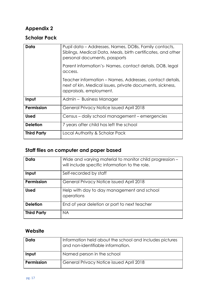# **Appendix 2**

# **Scholar Pack**

| Data               | Pupil data – Addresses, Names, DOBs, Family contacts,<br>Siblings, Medical Data, Meals, birth certificates, and other<br>personal documents, passports |
|--------------------|--------------------------------------------------------------------------------------------------------------------------------------------------------|
|                    | Parent information's-Names, contact details, DOB, legal<br>access.                                                                                     |
|                    | Teacher information – Names, Addresses, contact details,<br>next of kin, Medical issues, private documents, sickness,<br>appraisals, employment.       |
| Input              | Admin - Business Manager                                                                                                                               |
| Permission         | General Privacy Notice issued April 2018                                                                                                               |
| <b>Used</b>        | Census – daily school management – emergencies                                                                                                         |
| <b>Deletion</b>    | 7 years after child has left the school                                                                                                                |
| <b>Third Party</b> | Local Authority & Scholar Pack                                                                                                                         |

# **Staff files on computer and paper based**

| Data               | Wide and varying material to monitor child progression -<br>will include specific information to the role. |
|--------------------|------------------------------------------------------------------------------------------------------------|
| Input              | Self-recorded by staff                                                                                     |
| <b>Permission</b>  | General Privacy Notice issued April 2018                                                                   |
| <b>Used</b>        | Help with day to day management and school<br>operations                                                   |
| <b>Deletion</b>    | End of year deletion or port to next teacher                                                               |
| <b>Third Party</b> | <b>NA</b>                                                                                                  |

# **Website**

| Data       | Information held about the school and includes pictures<br>and non-identifiable information. |
|------------|----------------------------------------------------------------------------------------------|
| Input      | Named person in the school                                                                   |
| Permission | General Privacy Notice issued April 2018                                                     |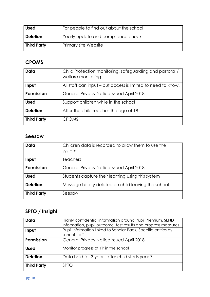| <b>Used</b>        | For people to find out about the school |
|--------------------|-----------------------------------------|
| <b>Deletion</b>    | Yearly update and compliance check      |
| <b>Third Party</b> | Primary site Website                    |

# **CPOMS**

| Data               | Child Protection monitoring, safeguarding and pastoral /<br>welfare monitoring |
|--------------------|--------------------------------------------------------------------------------|
| Input              | All staff can input – but access is limited to need to know.                   |
| <b>Permission</b>  | General Privacy Notice issued April 2018                                       |
| <b>Used</b>        | Support children while in the school                                           |
| <b>Deletion</b>    | After the child reaches the age of 18                                          |
| <b>Third Party</b> | <b>CPOMS</b>                                                                   |

#### **Seesaw**

| Data               | Children data is recorded to allow them to use the<br>system |
|--------------------|--------------------------------------------------------------|
| Input              | <b>Teachers</b>                                              |
| Permission         | General Privacy Notice issued April 2018                     |
| <b>Used</b>        | Students capture their learning using this system            |
| <b>Deletion</b>    | Message history deleted on child leaving the school          |
| <b>Third Party</b> | Seesaw                                                       |

# **SPTO / Insight**

| Data               | Highly confidential information around Pupil Premium, SEND<br>information, pupil outcome, test results and progress measures |
|--------------------|------------------------------------------------------------------------------------------------------------------------------|
| Input              | Pupil information linked to Scholar Pack, Specific entries by<br>school staff                                                |
| <b>Permission</b>  | General Privacy Notice issued April 2018                                                                                     |
| <b>Used</b>        | Monitor progress of YP in the school                                                                                         |
| <b>Deletion</b>    | Data held for 3 years after child starts year 7                                                                              |
| <b>Third Party</b> | <b>SPTO</b>                                                                                                                  |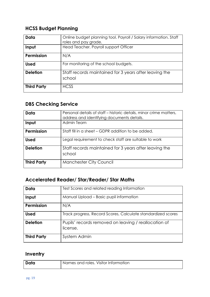# **HCSS Budget Planning**

| Data               | Online budget planning tool. Payroll / Salary information. Staff<br>roles and pay grade. |
|--------------------|------------------------------------------------------------------------------------------|
| Input              | Head Teacher. Payroll support Officer                                                    |
| Permission         | N/A                                                                                      |
| <b>Used</b>        | For monitoring of the school budgets.                                                    |
| <b>Deletion</b>    | Staff records maintained for 3 years after leaving the<br>school                         |
| <b>Third Party</b> | <b>HCSS</b>                                                                              |

# **DBS Checking Service**

| Data               | Personal details of staff – historic details, minor crime matters,<br>address and identifying documents details. |
|--------------------|------------------------------------------------------------------------------------------------------------------|
| Input              | Admin Team                                                                                                       |
| Permission         | Staff fill in a sheet – GDPR addition to be added.                                                               |
| <b>Used</b>        | Legal requirement to check staff are suitable to work                                                            |
| <b>Deletion</b>    | Staff records maintained for 3 years after leaving the<br>school                                                 |
| <b>Third Party</b> | <b>Manchester City Council</b>                                                                                   |

# **Accelerated Reader/ Star/Reader/ Star Maths**

| Data               | Test Scores and related reading Information                      |
|--------------------|------------------------------------------------------------------|
| Input              | Manual Upload - Basic pupil information                          |
| Permission         | N/A                                                              |
| <b>Used</b>        | Track progress, Record Scores, Calculate standardized scores     |
| <b>Deletion</b>    | Pupils' records removed on leaving / reallocation of<br>license. |
| <b>Third Party</b> | System Admin                                                     |

# **Inventry**

| Names and roles. Visitor Information<br>Data |  |
|----------------------------------------------|--|
|----------------------------------------------|--|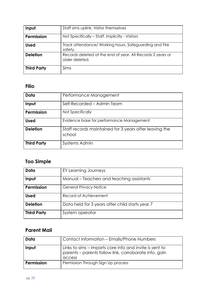| Input              | Staff sims uplink. Visitor themselves                                        |
|--------------------|------------------------------------------------------------------------------|
| Permission         | Not Specifically - Staff. Implicitly - Visitors                              |
| <b>Used</b>        | Track attendance/ Working hours. Safeguarding and Fire<br>safety.            |
| <b>Deletion</b>    | Records deleted at the end of year. All Records 2 years or<br>older deleted. |
| <b>Third Party</b> | Sims                                                                         |

# **Filio**

| Data               | Performance Management                                           |
|--------------------|------------------------------------------------------------------|
| Input              | Self-Recorded – Admin Team                                       |
| Permission         | Not Specifically                                                 |
| <b>Used</b>        | Evidence base for performance Management                         |
| <b>Deletion</b>    | Staff records maintained for 3 years after leaving the<br>school |
| <b>Third Party</b> | Systems Admin                                                    |

# **Too Simple**

| Data               | EY Learning Journeys                            |
|--------------------|-------------------------------------------------|
| Input              | Manual – Teachers and teaching assistants       |
| Permission         | <b>General Privacy Notice</b>                   |
| <b>Used</b>        | Record of Achievement                           |
| <b>Deletion</b>    | Data held for 3 years after child starts year 7 |
| <b>Third Party</b> | System operator                                 |

# **Parent Mail**

| Data       | Contact information - Emails/Phone Numbers                                                                                 |
|------------|----------------------------------------------------------------------------------------------------------------------------|
| Input      | Links to sims – Imports core info and invite is sent to<br>parents - parents follow link, corroborate info, gain<br>access |
| Permission | Permission Through Sign Up process                                                                                         |